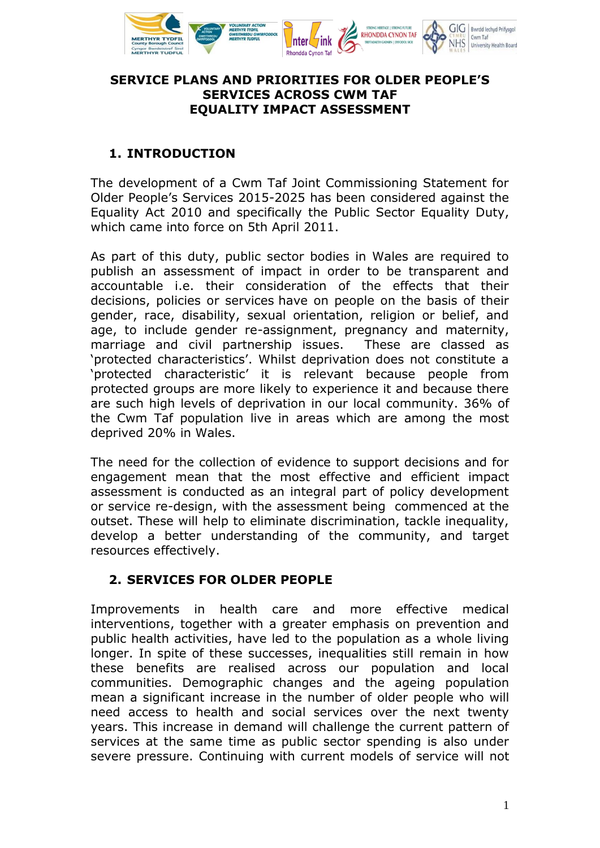

### **SERVICE PLANS AND PRIORITIES FOR OLDER PEOPLE'S SERVICES ACROSS CWM TAF EQUALITY IMPACT ASSESSMENT**

### **1. INTRODUCTION**

The development of a Cwm Taf Joint Commissioning Statement for Older People's Services 2015-2025 has been considered against the Equality Act 2010 and specifically the Public Sector Equality Duty, which came into force on 5th April 2011.

As part of this duty, public sector bodies in Wales are required to publish an assessment of impact in order to be transparent and accountable i.e. their consideration of the effects that their decisions, policies or services have on people on the basis of their gender, race, disability, sexual orientation, religion or belief, and age, to include gender re-assignment, pregnancy and maternity, marriage and civil partnership issues. These are classed as 'protected characteristics'. Whilst deprivation does not constitute a 'protected characteristic' it is relevant because people from protected groups are more likely to experience it and because there are such high levels of deprivation in our local community. 36% of the Cwm Taf population live in areas which are among the most deprived 20% in Wales.

The need for the collection of evidence to support decisions and for engagement mean that the most effective and efficient impact assessment is conducted as an integral part of policy development or service re-design, with the assessment being commenced at the outset. These will help to eliminate discrimination, tackle inequality, develop a better understanding of the community, and target resources effectively.

### **2. SERVICES FOR OLDER PEOPLE**

Improvements in health care and more effective medical interventions, together with a greater emphasis on prevention and public health activities, have led to the population as a whole living longer. In spite of these successes, inequalities still remain in how these benefits are realised across our population and local communities. Demographic changes and the ageing population mean a significant increase in the number of older people who will need access to health and social services over the next twenty years. This increase in demand will challenge the current pattern of services at the same time as public sector spending is also under severe pressure. Continuing with current models of service will not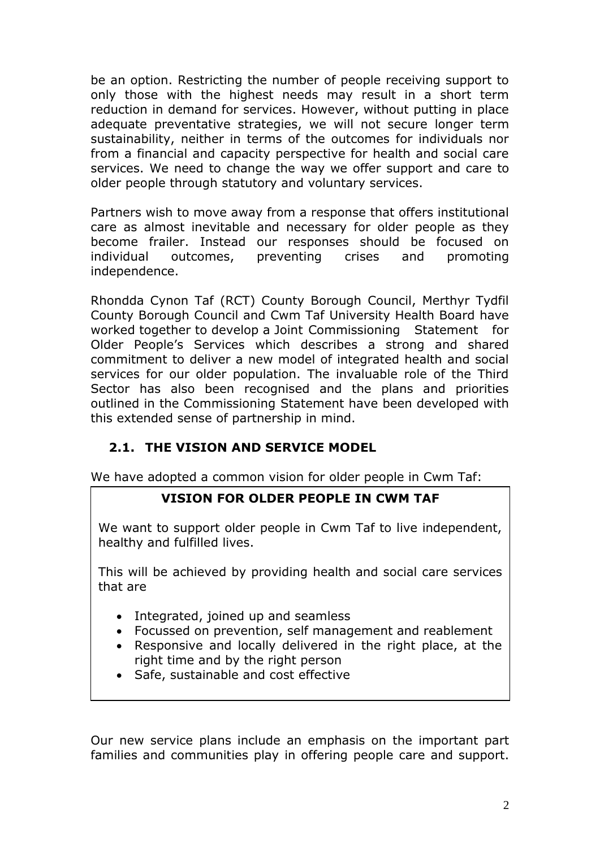be an option. Restricting the number of people receiving support to only those with the highest needs may result in a short term reduction in demand for services. However, without putting in place adequate preventative strategies, we will not secure longer term sustainability, neither in terms of the outcomes for individuals nor from a financial and capacity perspective for health and social care services. We need to change the way we offer support and care to older people through statutory and voluntary services.

Partners wish to move away from a response that offers institutional care as almost inevitable and necessary for older people as they become frailer. Instead our responses should be focused on individual outcomes, preventing crises and promoting independence.

Rhondda Cynon Taf (RCT) County Borough Council, Merthyr Tydfil County Borough Council and Cwm Taf University Health Board have worked together to develop a Joint Commissioning Statement for Older People's Services which describes a strong and shared commitment to deliver a new model of integrated health and social services for our older population. The invaluable role of the Third Sector has also been recognised and the plans and priorities outlined in the Commissioning Statement have been developed with this extended sense of partnership in mind.

# **2.1. THE VISION AND SERVICE MODEL**

We have adopted a common vision for older people in Cwm Taf:

# **VISION FOR OLDER PEOPLE IN CWM TAF**

We want to support older people in Cwm Taf to live independent, healthy and fulfilled lives.

This will be achieved by providing health and social care services that are

- Integrated, joined up and seamless
- Focussed on prevention, self management and reablement
- Responsive and locally delivered in the right place, at the right time and by the right person
- Safe, sustainable and cost effective

Our new service plans include an emphasis on the important part families and communities play in offering people care and support.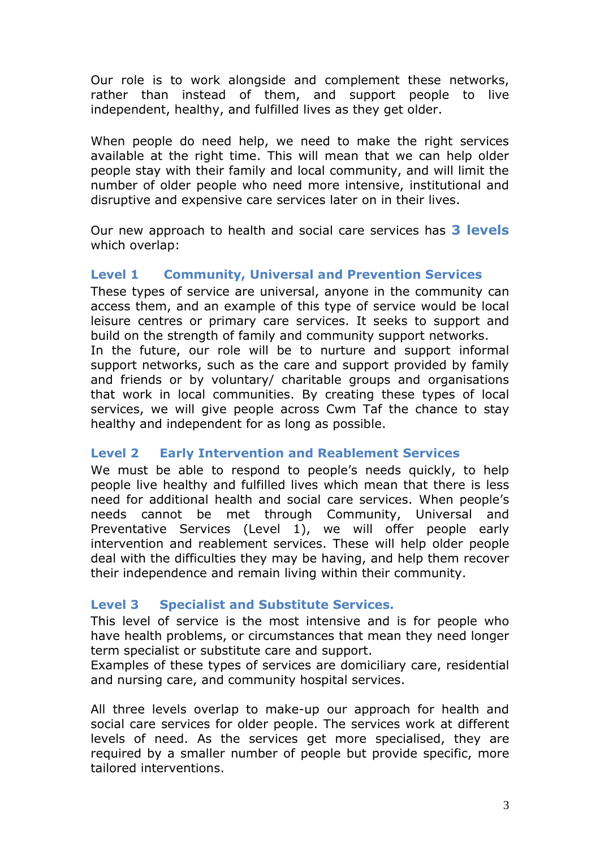Our role is to work alongside and complement these networks, rather than instead of them, and support people to live independent, healthy, and fulfilled lives as they get older.

When people do need help, we need to make the right services available at the right time. This will mean that we can help older people stay with their family and local community, and will limit the number of older people who need more intensive, institutional and disruptive and expensive care services later on in their lives.

Our new approach to health and social care services has **3 levels** which overlap:

### **Level 1 Community, Universal and Prevention Services**

These types of service are universal, anyone in the community can access them, and an example of this type of service would be local leisure centres or primary care services. It seeks to support and build on the strength of family and community support networks.

In the future, our role will be to nurture and support informal support networks, such as the care and support provided by family and friends or by voluntary/ charitable groups and organisations that work in local communities. By creating these types of local services, we will give people across Cwm Taf the chance to stay healthy and independent for as long as possible.

#### **Level 2 Early Intervention and Reablement Services**

We must be able to respond to people's needs quickly, to help people live healthy and fulfilled lives which mean that there is less need for additional health and social care services. When people's needs cannot be met through Community, Universal and Preventative Services (Level 1), we will offer people early intervention and reablement services. These will help older people deal with the difficulties they may be having, and help them recover their independence and remain living within their community.

#### **Level 3 Specialist and Substitute Services.**

This level of service is the most intensive and is for people who have health problems, or circumstances that mean they need longer term specialist or substitute care and support.

Examples of these types of services are domiciliary care, residential and nursing care, and community hospital services.

All three levels overlap to make-up our approach for health and social care services for older people. The services work at different levels of need. As the services get more specialised, they are required by a smaller number of people but provide specific, more tailored interventions.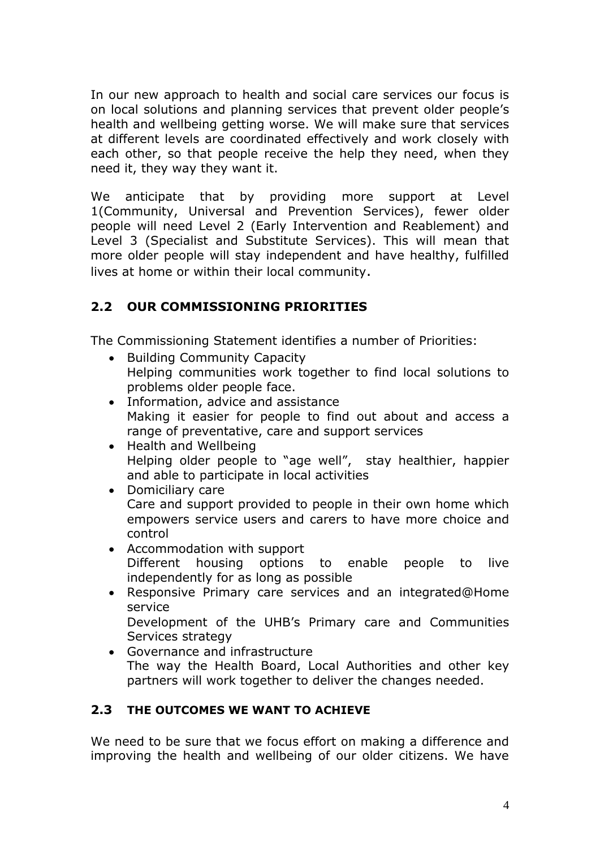In our new approach to health and social care services our focus is on local solutions and planning services that prevent older people's health and wellbeing getting worse. We will make sure that services at different levels are coordinated effectively and work closely with each other, so that people receive the help they need, when they need it, they way they want it.

We anticipate that by providing more support at Level 1(Community, Universal and Prevention Services), fewer older people will need Level 2 (Early Intervention and Reablement) and Level 3 (Specialist and Substitute Services). This will mean that more older people will stay independent and have healthy, fulfilled lives at home or within their local community.

# **2.2 OUR COMMISSIONING PRIORITIES**

The Commissioning Statement identifies a number of Priorities:

- Building Community Capacity Helping communities work together to find local solutions to problems older people face.
- Information, advice and assistance Making it easier for people to find out about and access a range of preventative, care and support services
- Health and Wellbeing Helping older people to "age well", stay healthier, happier and able to participate in local activities
- Domiciliary care Care and support provided to people in their own home which empowers service users and carers to have more choice and control
- Accommodation with support Different housing options to enable people to live independently for as long as possible
- Responsive Primary care services and an integrated@Home service

Development of the UHB's Primary care and Communities Services strategy

 Governance and infrastructure The way the Health Board, Local Authorities and other key partners will work together to deliver the changes needed.

### **2.3 THE OUTCOMES WE WANT TO ACHIEVE**

We need to be sure that we focus effort on making a difference and improving the health and wellbeing of our older citizens. We have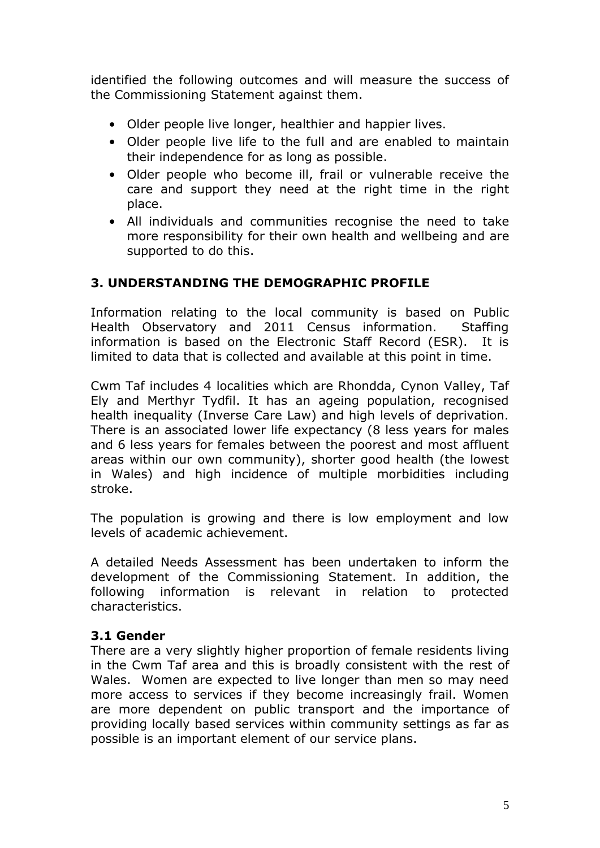identified the following outcomes and will measure the success of the Commissioning Statement against them.

- Older people live longer, healthier and happier lives.
- Older people live life to the full and are enabled to maintain their independence for as long as possible.
- Older people who become ill, frail or vulnerable receive the care and support they need at the right time in the right place.
- All individuals and communities recognise the need to take more responsibility for their own health and wellbeing and are supported to do this.

### **3. UNDERSTANDING THE DEMOGRAPHIC PROFILE**

Information relating to the local community is based on Public Health Observatory and 2011 Census information. Staffing information is based on the Electronic Staff Record (ESR). It is limited to data that is collected and available at this point in time.

Cwm Taf includes 4 localities which are Rhondda, Cynon Valley, Taf Ely and Merthyr Tydfil. It has an ageing population, recognised health inequality (Inverse Care Law) and high levels of deprivation. There is an associated lower life expectancy (8 less years for males and 6 less years for females between the poorest and most affluent areas within our own community), shorter good health (the lowest in Wales) and high incidence of multiple morbidities including stroke.

The population is growing and there is low employment and low levels of academic achievement.

A detailed Needs Assessment has been undertaken to inform the development of the Commissioning Statement. In addition, the following information is relevant in relation to protected characteristics.

#### **3.1 Gender**

There are a very slightly higher proportion of female residents living in the Cwm Taf area and this is broadly consistent with the rest of Wales. Women are expected to live longer than men so may need more access to services if they become increasingly frail. Women are more dependent on public transport and the importance of providing locally based services within community settings as far as possible is an important element of our service plans.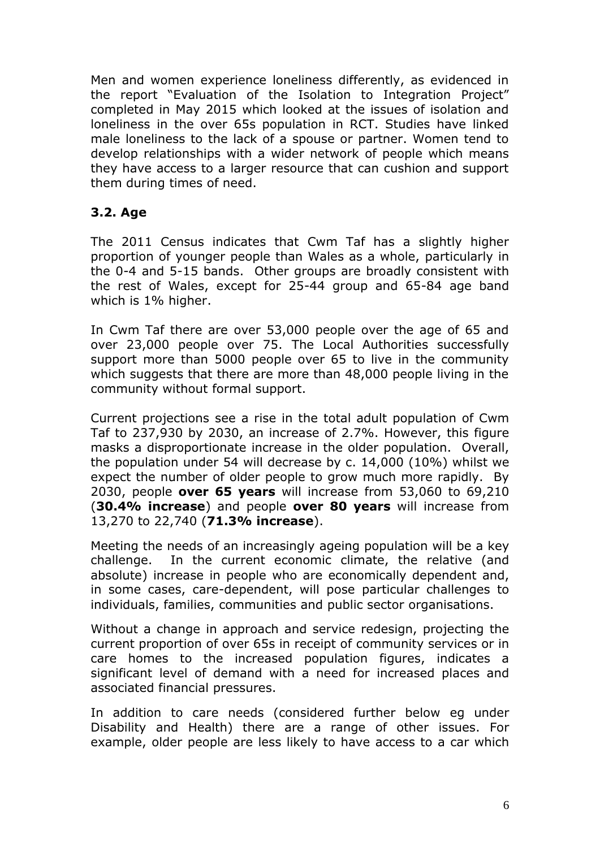Men and women experience loneliness differently, as evidenced in the report "Evaluation of the Isolation to Integration Project" completed in May 2015 which looked at the issues of isolation and loneliness in the over 65s population in RCT. Studies have linked male loneliness to the lack of a spouse or partner. Women tend to develop relationships with a wider network of people which means they have access to a larger resource that can cushion and support them during times of need.

### **3.2. Age**

The 2011 Census indicates that Cwm Taf has a slightly higher proportion of younger people than Wales as a whole, particularly in the 0-4 and 5-15 bands. Other groups are broadly consistent with the rest of Wales, except for 25-44 group and 65-84 age band which is 1% higher.

In Cwm Taf there are over 53,000 people over the age of 65 and over 23,000 people over 75. The Local Authorities successfully support more than 5000 people over 65 to live in the community which suggests that there are more than 48,000 people living in the community without formal support.

Current projections see a rise in the total adult population of Cwm Taf to 237,930 by 2030, an increase of 2.7%. However, this figure masks a disproportionate increase in the older population. Overall, the population under 54 will decrease by c. 14,000 (10%) whilst we expect the number of older people to grow much more rapidly. By 2030, people **over 65 years** will increase from 53,060 to 69,210 (**30.4% increase**) and people **over 80 years** will increase from 13,270 to 22,740 (**71.3% increase**).

Meeting the needs of an increasingly ageing population will be a key challenge. In the current economic climate, the relative (and absolute) increase in people who are economically dependent and, in some cases, care-dependent, will pose particular challenges to individuals, families, communities and public sector organisations.

Without a change in approach and service redesign, projecting the current proportion of over 65s in receipt of community services or in care homes to the increased population figures, indicates a significant level of demand with a need for increased places and associated financial pressures.

In addition to care needs (considered further below eg under Disability and Health) there are a range of other issues. For example, older people are less likely to have access to a car which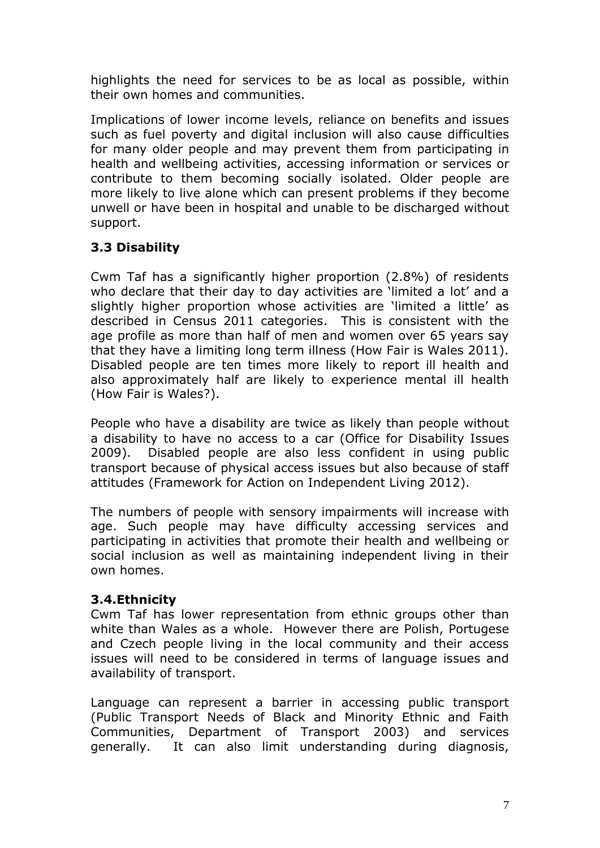highlights the need for services to be as local as possible, within their own homes and communities.

Implications of lower income levels, reliance on benefits and issues such as fuel poverty and digital inclusion will also cause difficulties for many older people and may prevent them from participating in health and wellbeing activities, accessing information or services or contribute to them becoming socially isolated. Older people are more likely to live alone which can present problems if they become unwell or have been in hospital and unable to be discharged without support.

# **3.3 Disability**

Cwm Taf has a significantly higher proportion (2.8%) of residents who declare that their day to day activities are 'limited a lot' and a slightly higher proportion whose activities are 'limited a little' as described in Census 2011 categories. This is consistent with the age profile as more than half of men and women over 65 years say that they have a limiting long term illness (How Fair is Wales 2011). Disabled people are ten times more likely to report ill health and also approximately half are likely to experience mental ill health (How Fair is Wales?).

People who have a disability are twice as likely than people without a disability to have no access to a car (Office for Disability Issues 2009). Disabled people are also less confident in using public transport because of physical access issues but also because of staff attitudes (Framework for Action on Independent Living 2012).

The numbers of people with sensory impairments will increase with age. Such people may have difficulty accessing services and participating in activities that promote their health and wellbeing or social inclusion as well as maintaining independent living in their own homes.

# **3.4.Ethnicity**

Cwm Taf has lower representation from ethnic groups other than white than Wales as a whole. However there are Polish, Portugese and Czech people living in the local community and their access issues will need to be considered in terms of language issues and availability of transport.

Language can represent a barrier in accessing public transport (Public Transport Needs of Black and Minority Ethnic and Faith Communities, Department of Transport 2003) and services generally. It can also limit understanding during diagnosis,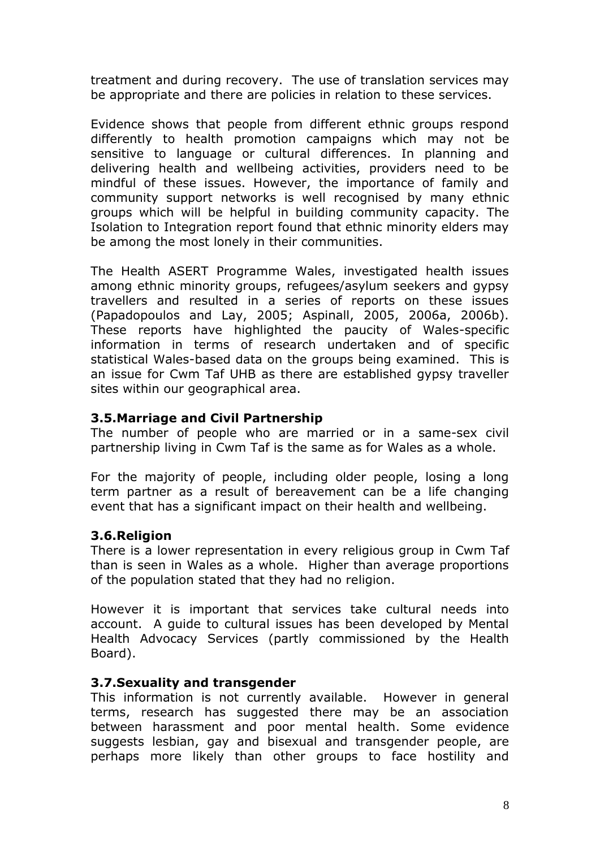treatment and during recovery. The use of translation services may be appropriate and there are policies in relation to these services.

Evidence shows that people from different ethnic groups respond differently to health promotion campaigns which may not be sensitive to language or cultural differences. In planning and delivering health and wellbeing activities, providers need to be mindful of these issues. However, the importance of family and community support networks is well recognised by many ethnic groups which will be helpful in building community capacity. The Isolation to Integration report found that ethnic minority elders may be among the most lonely in their communities.

The Health ASERT Programme Wales, investigated health issues among ethnic minority groups, refugees/asylum seekers and gypsy travellers and resulted in a series of reports on these issues (Papadopoulos and Lay, 2005; Aspinall, 2005, 2006a, 2006b). These reports have highlighted the paucity of Wales-specific information in terms of research undertaken and of specific statistical Wales-based data on the groups being examined. This is an issue for Cwm Taf UHB as there are established gypsy traveller sites within our geographical area.

#### **3.5.Marriage and Civil Partnership**

The number of people who are married or in a same-sex civil partnership living in Cwm Taf is the same as for Wales as a whole.

For the majority of people, including older people, losing a long term partner as a result of bereavement can be a life changing event that has a significant impact on their health and wellbeing.

### **3.6.Religion**

There is a lower representation in every religious group in Cwm Taf than is seen in Wales as a whole. Higher than average proportions of the population stated that they had no religion.

However it is important that services take cultural needs into account. A guide to cultural issues has been developed by Mental Health Advocacy Services (partly commissioned by the Health Board).

#### **3.7.Sexuality and transgender**

This information is not currently available. However in general terms, research has suggested there may be an association between harassment and poor mental health. Some evidence suggests lesbian, gay and bisexual and transgender people, are perhaps more likely than other groups to face hostility and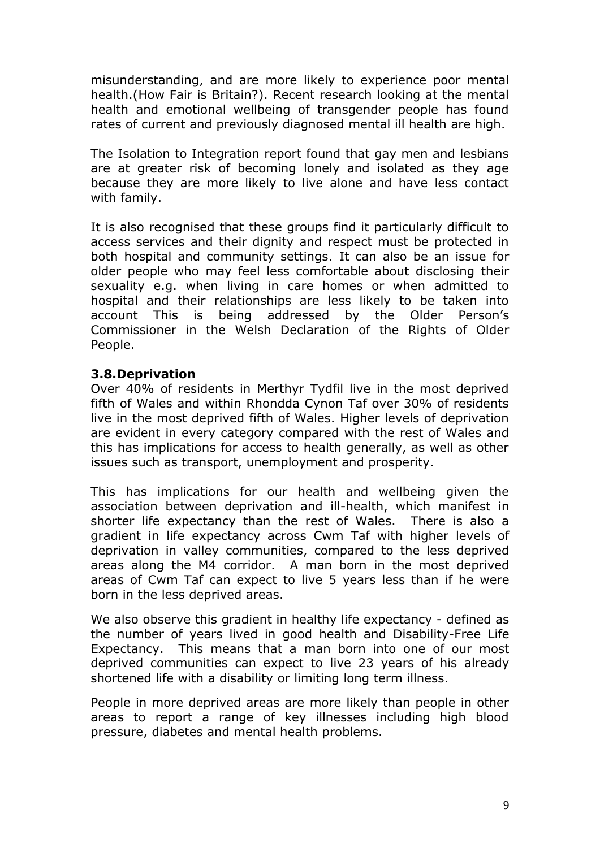misunderstanding, and are more likely to experience poor mental health.(How Fair is Britain?). Recent research looking at the mental health and emotional wellbeing of transgender people has found rates of current and previously diagnosed mental ill health are high.

The Isolation to Integration report found that gay men and lesbians are at greater risk of becoming lonely and isolated as they age because they are more likely to live alone and have less contact with family.

It is also recognised that these groups find it particularly difficult to access services and their dignity and respect must be protected in both hospital and community settings. It can also be an issue for older people who may feel less comfortable about disclosing their sexuality e.g. when living in care homes or when admitted to hospital and their relationships are less likely to be taken into account This is being addressed by the Older Person's Commissioner in the Welsh Declaration of the Rights of Older People.

### **3.8.Deprivation**

Over 40% of residents in Merthyr Tydfil live in the most deprived fifth of Wales and within Rhondda Cynon Taf over 30% of residents live in the most deprived fifth of Wales. Higher levels of deprivation are evident in every category compared with the rest of Wales and this has implications for access to health generally, as well as other issues such as transport, unemployment and prosperity.

This has implications for our health and wellbeing given the association between deprivation and ill-health, which manifest in shorter life expectancy than the rest of Wales. There is also a gradient in life expectancy across Cwm Taf with higher levels of deprivation in valley communities, compared to the less deprived areas along the M4 corridor. A man born in the most deprived areas of Cwm Taf can expect to live 5 years less than if he were born in the less deprived areas.

We also observe this gradient in healthy life expectancy - defined as the number of years lived in good health and Disability-Free Life Expectancy. This means that a man born into one of our most deprived communities can expect to live 23 years of his already shortened life with a disability or limiting long term illness.

People in more deprived areas are more likely than people in other areas to report a range of key illnesses including high blood pressure, diabetes and mental health problems.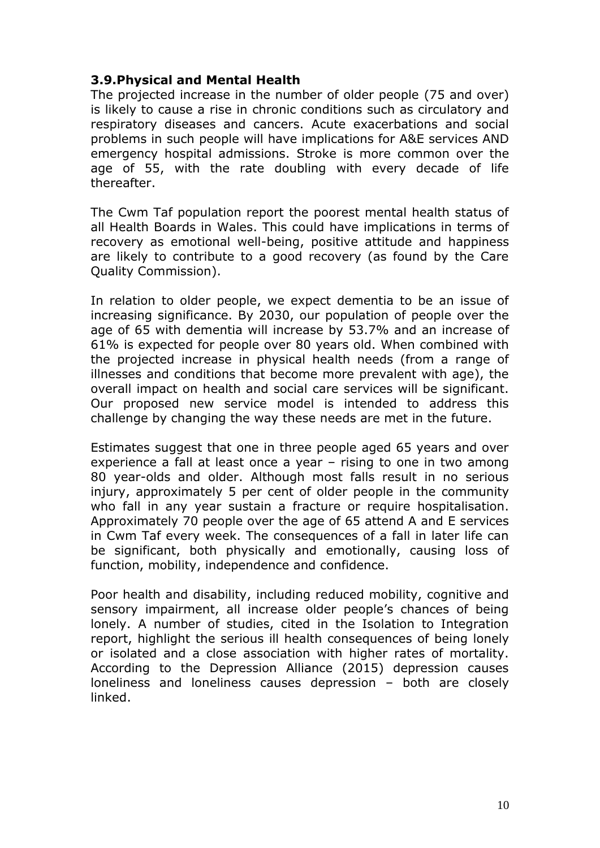#### **3.9.Physical and Mental Health**

The projected increase in the number of older people (75 and over) is likely to cause a rise in chronic conditions such as circulatory and respiratory diseases and cancers. Acute exacerbations and social problems in such people will have implications for A&E services AND emergency hospital admissions. Stroke is more common over the age of 55, with the rate doubling with every decade of life thereafter.

The Cwm Taf population report the poorest mental health status of all Health Boards in Wales. This could have implications in terms of recovery as emotional well-being, positive attitude and happiness are likely to contribute to a good recovery (as found by the Care Quality Commission).

In relation to older people, we expect dementia to be an issue of increasing significance. By 2030, our population of people over the age of 65 with dementia will increase by 53.7% and an increase of 61% is expected for people over 80 years old. When combined with the projected increase in physical health needs (from a range of illnesses and conditions that become more prevalent with age), the overall impact on health and social care services will be significant. Our proposed new service model is intended to address this challenge by changing the way these needs are met in the future.

Estimates suggest that one in three people aged 65 years and over experience a fall at least once a year – rising to one in two among 80 year-olds and older. Although most falls result in no serious injury, approximately 5 per cent of older people in the community who fall in any year sustain a fracture or require hospitalisation. Approximately 70 people over the age of 65 attend A and E services in Cwm Taf every week. The consequences of a fall in later life can be significant, both physically and emotionally, causing loss of function, mobility, independence and confidence.

Poor health and disability, including reduced mobility, cognitive and sensory impairment, all increase older people's chances of being lonely. A number of studies, cited in the Isolation to Integration report, highlight the serious ill health consequences of being lonely or isolated and a close association with higher rates of mortality. According to the Depression Alliance (2015) depression causes loneliness and loneliness causes depression – both are closely linked.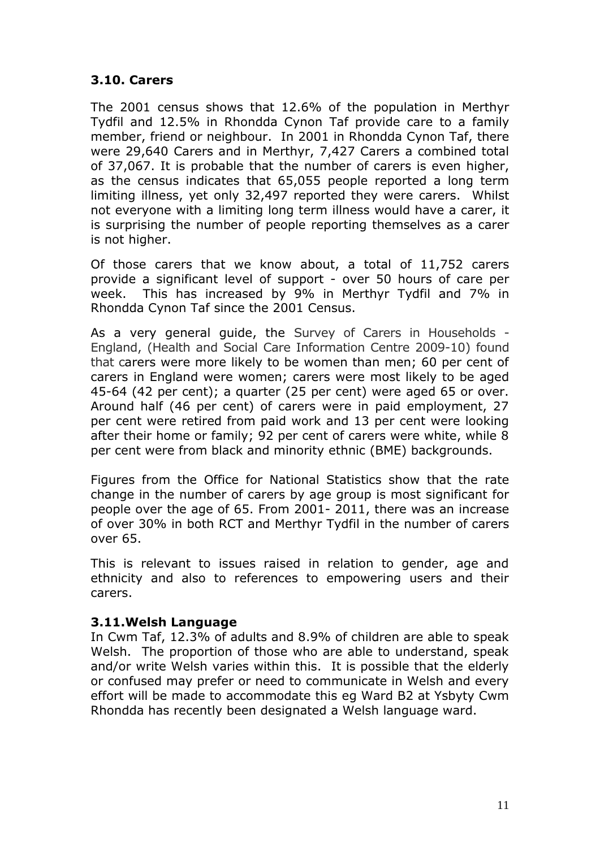### **3.10. Carers**

The 2001 census shows that 12.6% of the population in Merthyr Tydfil and 12.5% in Rhondda Cynon Taf provide care to a family member, friend or neighbour. In 2001 in Rhondda Cynon Taf, there were 29,640 Carers and in Merthyr, 7,427 Carers a combined total of 37,067. It is probable that the number of carers is even higher, as the census indicates that 65,055 people reported a long term limiting illness, yet only 32,497 reported they were carers. Whilst not everyone with a limiting long term illness would have a carer, it is surprising the number of people reporting themselves as a carer is not higher.

Of those carers that we know about, a total of 11,752 carers provide a significant level of support - over 50 hours of care per week. This has increased by 9% in Merthyr Tydfil and 7% in Rhondda Cynon Taf since the 2001 Census.

As a very general guide, the Survey of Carers in Households - England, (Health and Social Care Information Centre 2009-10) found that carers were more likely to be women than men; 60 per cent of carers in England were women; carers were most likely to be aged 45-64 (42 per cent); a quarter (25 per cent) were aged 65 or over. Around half (46 per cent) of carers were in paid employment, 27 per cent were retired from paid work and 13 per cent were looking after their home or family; 92 per cent of carers were white, while 8 per cent were from black and minority ethnic (BME) backgrounds.

Figures from the Office for National Statistics show that the rate change in the number of carers by age group is most significant for people over the age of 65. From 2001- 2011, there was an increase of over 30% in both RCT and Merthyr Tydfil in the number of carers over 65.

This is relevant to issues raised in relation to gender, age and ethnicity and also to references to empowering users and their carers.

#### **3.11.Welsh Language**

In Cwm Taf, 12.3% of adults and 8.9% of children are able to speak Welsh. The proportion of those who are able to understand, speak and/or write Welsh varies within this. It is possible that the elderly or confused may prefer or need to communicate in Welsh and every effort will be made to accommodate this eg Ward B2 at Ysbyty Cwm Rhondda has recently been designated a Welsh language ward.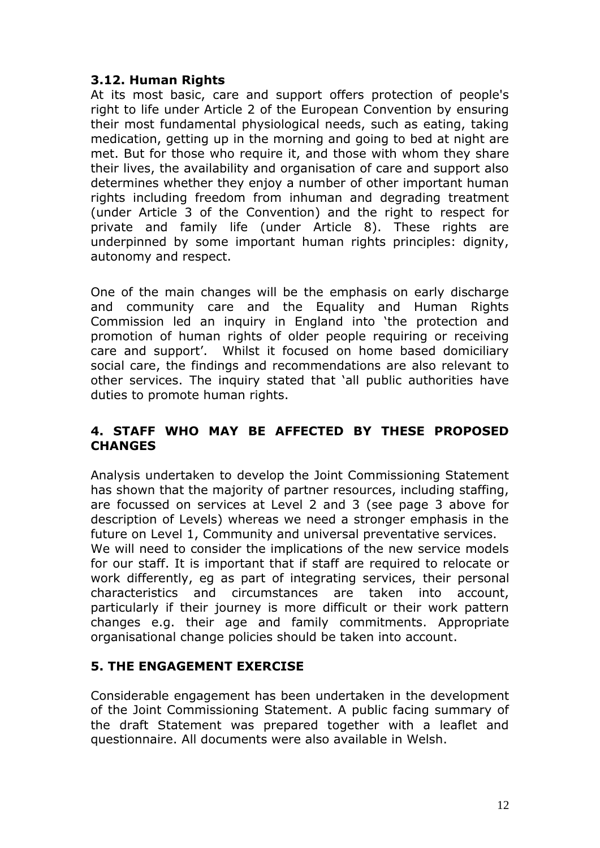### **3.12. Human Rights**

At its most basic, care and support offers protection of people's right to life under Article 2 of the European Convention by ensuring their most fundamental physiological needs, such as eating, taking medication, getting up in the morning and going to bed at night are met. But for those who require it, and those with whom they share their lives, the availability and organisation of care and support also determines whether they enjoy a number of other important human rights including freedom from inhuman and degrading treatment (under Article 3 of the Convention) and the right to respect for private and family life (under Article 8). These rights are underpinned by some important human rights principles: dignity, autonomy and respect.

One of the main changes will be the emphasis on early discharge and community care and the Equality and Human Rights Commission led an inquiry in England into 'the protection and promotion of human rights of older people requiring or receiving care and support'. Whilst it focused on home based domiciliary social care, the findings and recommendations are also relevant to other services. The inquiry stated that 'all public authorities have duties to promote human rights.

### **4. STAFF WHO MAY BE AFFECTED BY THESE PROPOSED CHANGES**

Analysis undertaken to develop the Joint Commissioning Statement has shown that the majority of partner resources, including staffing, are focussed on services at Level 2 and 3 (see page 3 above for description of Levels) whereas we need a stronger emphasis in the future on Level 1, Community and universal preventative services. We will need to consider the implications of the new service models for our staff. It is important that if staff are required to relocate or work differently, eg as part of integrating services, their personal characteristics and circumstances are taken into account, particularly if their journey is more difficult or their work pattern changes e.g. their age and family commitments. Appropriate organisational change policies should be taken into account.

# **5. THE ENGAGEMENT EXERCISE**

Considerable engagement has been undertaken in the development of the Joint Commissioning Statement. A public facing summary of the draft Statement was prepared together with a leaflet and questionnaire. All documents were also available in Welsh.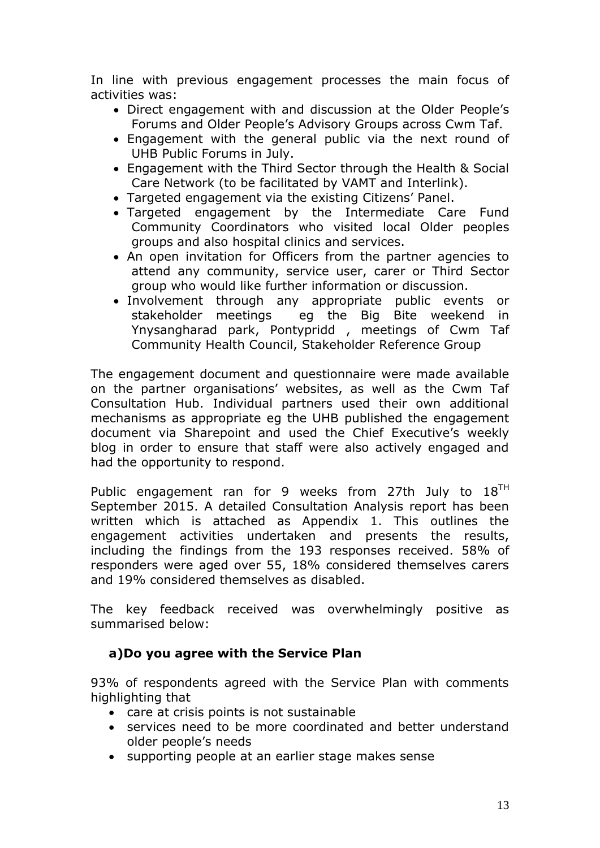In line with previous engagement processes the main focus of activities was:

- Direct engagement with and discussion at the Older People's Forums and Older People's Advisory Groups across Cwm Taf.
- Engagement with the general public via the next round of UHB Public Forums in July.
- Engagement with the Third Sector through the Health & Social Care Network (to be facilitated by VAMT and Interlink).
- Targeted engagement via the existing Citizens' Panel.
- Targeted engagement by the Intermediate Care Fund Community Coordinators who visited local Older peoples groups and also hospital clinics and services.
- An open invitation for Officers from the partner agencies to attend any community, service user, carer or Third Sector group who would like further information or discussion.
- Involvement through any appropriate public events or stakeholder meetings eg the Big Bite weekend in Ynysangharad park, Pontypridd , meetings of Cwm Taf Community Health Council, Stakeholder Reference Group

The engagement document and questionnaire were made available on the partner organisations' websites, as well as the Cwm Taf Consultation Hub. Individual partners used their own additional mechanisms as appropriate eg the UHB published the engagement document via Sharepoint and used the Chief Executive's weekly blog in order to ensure that staff were also actively engaged and had the opportunity to respond.

Public engagement ran for 9 weeks from 27th July to  $18^{TH}$ September 2015. A detailed Consultation Analysis report has been written which is attached as Appendix 1. This outlines the engagement activities undertaken and presents the results, including the findings from the 193 responses received. 58% of responders were aged over 55, 18% considered themselves carers and 19% considered themselves as disabled.

The key feedback received was overwhelmingly positive as summarised below:

### **a)Do you agree with the Service Plan**

93% of respondents agreed with the Service Plan with comments highlighting that

- care at crisis points is not sustainable
- services need to be more coordinated and better understand older people's needs
- supporting people at an earlier stage makes sense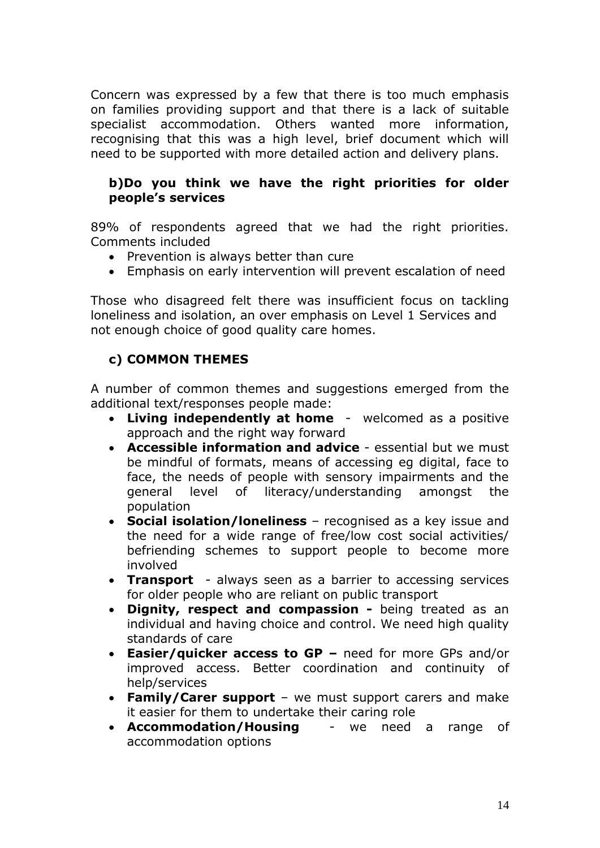Concern was expressed by a few that there is too much emphasis on families providing support and that there is a lack of suitable specialist accommodation. Others wanted more information, recognising that this was a high level, brief document which will need to be supported with more detailed action and delivery plans.

### **b)Do you think we have the right priorities for older people's services**

89% of respondents agreed that we had the right priorities. Comments included

- Prevention is always better than cure
- Emphasis on early intervention will prevent escalation of need

Those who disagreed felt there was insufficient focus on tackling loneliness and isolation, an over emphasis on Level 1 Services and not enough choice of good quality care homes.

# **c) COMMON THEMES**

A number of common themes and suggestions emerged from the additional text/responses people made:

- **Living independently at home** welcomed as a positive approach and the right way forward
- **Accessible information and advice** essential but we must be mindful of formats, means of accessing eg digital, face to face, the needs of people with sensory impairments and the general level of literacy/understanding amongst the population
- **Social isolation/loneliness** recognised as a key issue and the need for a wide range of free/low cost social activities/ befriending schemes to support people to become more involved
- **Transport**  always seen as a barrier to accessing services for older people who are reliant on public transport
- **Dignity, respect and compassion -** being treated as an individual and having choice and control. We need high quality standards of care
- **Easier/quicker access to GP –** need for more GPs and/or improved access. Better coordination and continuity of help/services
- **Family/Carer support**  we must support carers and make it easier for them to undertake their caring role
- **Accommodation/Housing**  we need a range of accommodation options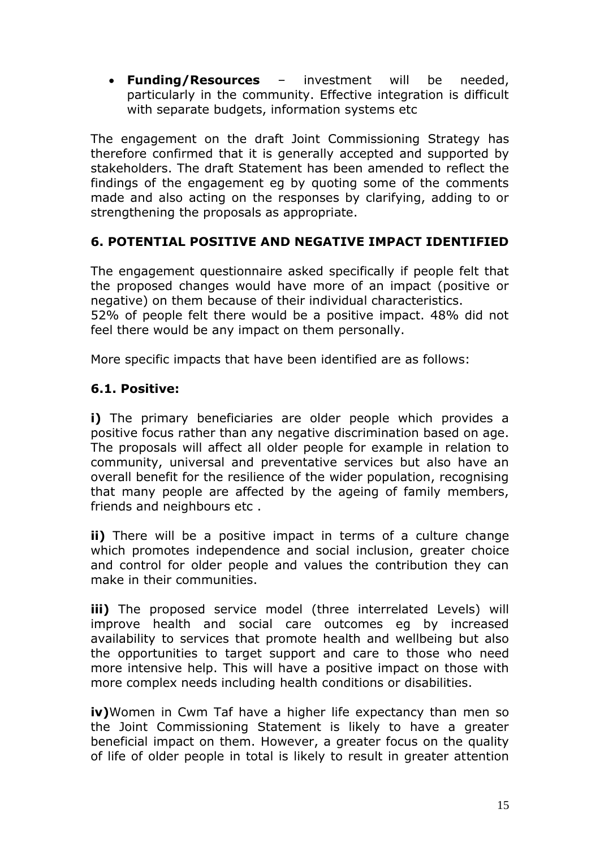**Funding/Resources** – investment will be needed, particularly in the community. Effective integration is difficult with separate budgets, information systems etc

The engagement on the draft Joint Commissioning Strategy has therefore confirmed that it is generally accepted and supported by stakeholders. The draft Statement has been amended to reflect the findings of the engagement eg by quoting some of the comments made and also acting on the responses by clarifying, adding to or strengthening the proposals as appropriate.

# **6. POTENTIAL POSITIVE AND NEGATIVE IMPACT IDENTIFIED**

The engagement questionnaire asked specifically if people felt that the proposed changes would have more of an impact (positive or negative) on them because of their individual characteristics. 52% of people felt there would be a positive impact. 48% did not feel there would be any impact on them personally.

More specific impacts that have been identified are as follows:

### **6.1. Positive:**

**i)** The primary beneficiaries are older people which provides a positive focus rather than any negative discrimination based on age. The proposals will affect all older people for example in relation to community, universal and preventative services but also have an overall benefit for the resilience of the wider population, recognising that many people are affected by the ageing of family members, friends and neighbours etc .

**ii)** There will be a positive impact in terms of a culture change which promotes independence and social inclusion, greater choice and control for older people and values the contribution they can make in their communities.

**iii)** The proposed service model (three interrelated Levels) will improve health and social care outcomes eg by increased availability to services that promote health and wellbeing but also the opportunities to target support and care to those who need more intensive help. This will have a positive impact on those with more complex needs including health conditions or disabilities.

**iv)**Women in Cwm Taf have a higher life expectancy than men so the Joint Commissioning Statement is likely to have a greater beneficial impact on them. However, a greater focus on the quality of life of older people in total is likely to result in greater attention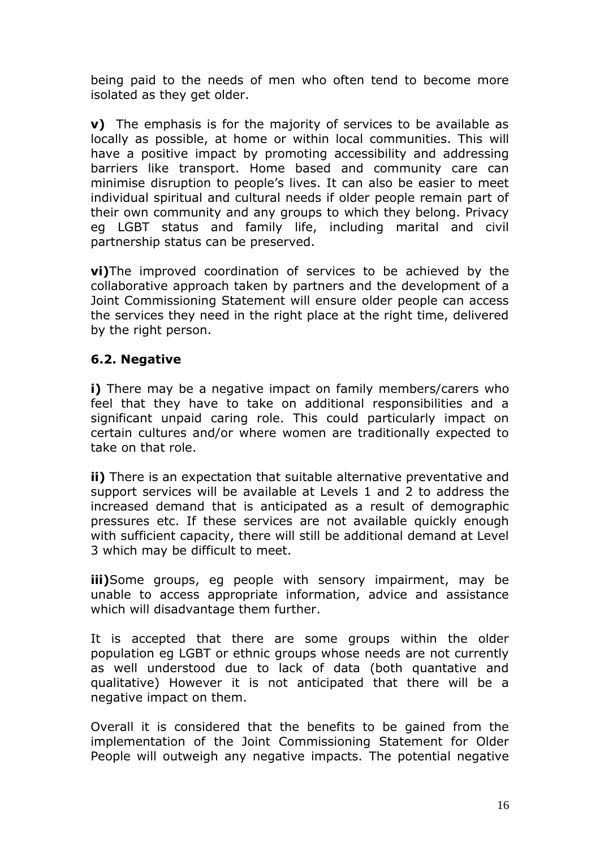being paid to the needs of men who often tend to become more isolated as they get older.

**v**) The emphasis is for the majority of services to be available as locally as possible, at home or within local communities. This will have a positive impact by promoting accessibility and addressing barriers like transport. Home based and community care can minimise disruption to people's lives. It can also be easier to meet individual spiritual and cultural needs if older people remain part of their own community and any groups to which they belong. Privacy eg LGBT status and family life, including marital and civil partnership status can be preserved.

**vi)**The improved coordination of services to be achieved by the collaborative approach taken by partners and the development of a Joint Commissioning Statement will ensure older people can access the services they need in the right place at the right time, delivered by the right person.

### **6.2. Negative**

**i)** There may be a negative impact on family members/carers who feel that they have to take on additional responsibilities and a significant unpaid caring role. This could particularly impact on certain cultures and/or where women are traditionally expected to take on that role.

**ii)** There is an expectation that suitable alternative preventative and support services will be available at Levels 1 and 2 to address the increased demand that is anticipated as a result of demographic pressures etc. If these services are not available quickly enough with sufficient capacity, there will still be additional demand at Level 3 which may be difficult to meet.

**iii)**Some groups, eg people with sensory impairment, may be unable to access appropriate information, advice and assistance which will disadvantage them further.

It is accepted that there are some groups within the older population eg LGBT or ethnic groups whose needs are not currently as well understood due to lack of data (both quantative and qualitative) However it is not anticipated that there will be a negative impact on them.

Overall it is considered that the benefits to be gained from the implementation of the Joint Commissioning Statement for Older People will outweigh any negative impacts. The potential negative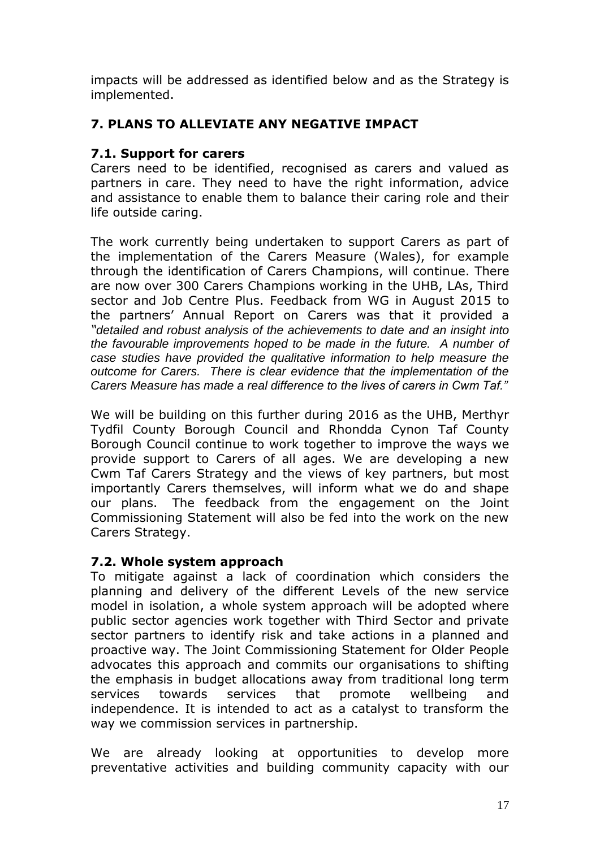impacts will be addressed as identified below and as the Strategy is implemented.

### **7. PLANS TO ALLEVIATE ANY NEGATIVE IMPACT**

### **7.1. Support for carers**

Carers need to be identified, recognised as carers and valued as partners in care. They need to have the right information, advice and assistance to enable them to balance their caring role and their life outside caring.

The work currently being undertaken to support Carers as part of the implementation of the Carers Measure (Wales), for example through the identification of Carers Champions, will continue. There are now over 300 Carers Champions working in the UHB, LAs, Third sector and Job Centre Plus. Feedback from WG in August 2015 to the partners' Annual Report on Carers was that it provided a *"detailed and robust analysis of the achievements to date and an insight into the favourable improvements hoped to be made in the future. A number of case studies have provided the qualitative information to help measure the outcome for Carers. There is clear evidence that the implementation of the Carers Measure has made a real difference to the lives of carers in Cwm Taf."*

We will be building on this further during 2016 as the UHB, Merthyr Tydfil County Borough Council and Rhondda Cynon Taf County Borough Council continue to work together to improve the ways we provide support to Carers of all ages. We are developing a new Cwm Taf Carers Strategy and the views of key partners, but most importantly Carers themselves, will inform what we do and shape our plans. The feedback from the engagement on the Joint Commissioning Statement will also be fed into the work on the new Carers Strategy.

### **7.2. Whole system approach**

To mitigate against a lack of coordination which considers the planning and delivery of the different Levels of the new service model in isolation, a whole system approach will be adopted where public sector agencies work together with Third Sector and private sector partners to identify risk and take actions in a planned and proactive way. The Joint Commissioning Statement for Older People advocates this approach and commits our organisations to shifting the emphasis in budget allocations away from traditional long term services towards services that promote wellbeing and independence. It is intended to act as a catalyst to transform the way we commission services in partnership.

We are already looking at opportunities to develop more preventative activities and building community capacity with our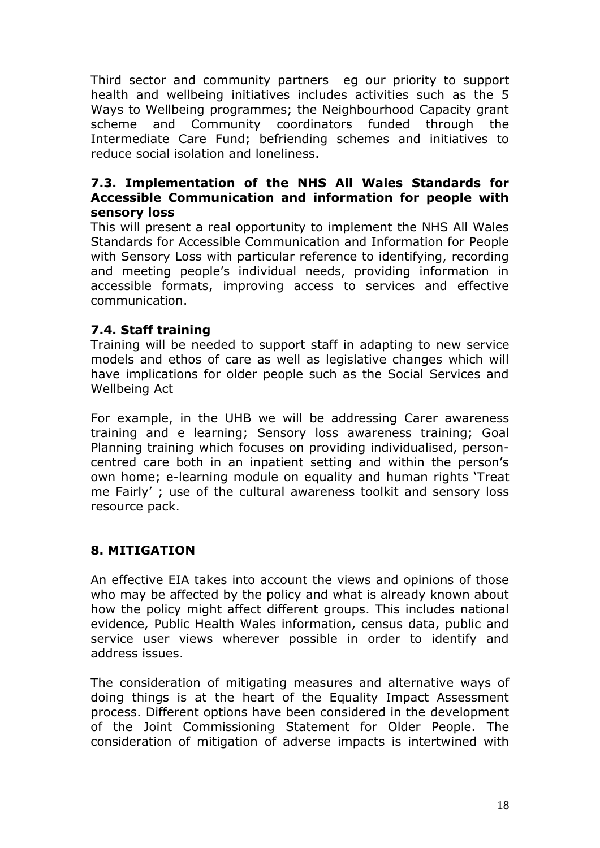Third sector and community partners eg our priority to support health and wellbeing initiatives includes activities such as the 5 Ways to Wellbeing programmes; the Neighbourhood Capacity grant scheme and Community coordinators funded through the Intermediate Care Fund; befriending schemes and initiatives to reduce social isolation and loneliness.

#### **7.3. Implementation of the NHS All Wales Standards for Accessible Communication and information for people with sensory loss**

This will present a real opportunity to implement the NHS All Wales Standards for Accessible Communication and Information for People with Sensory Loss with particular reference to identifying, recording and meeting people's individual needs, providing information in accessible formats, improving access to services and effective communication.

### **7.4. Staff training**

Training will be needed to support staff in adapting to new service models and ethos of care as well as legislative changes which will have implications for older people such as the Social Services and Wellbeing Act

For example, in the UHB we will be addressing Carer awareness training and e learning; Sensory loss awareness training; Goal Planning training which focuses on providing individualised, personcentred care both in an inpatient setting and within the person's own home; e-learning module on equality and human rights 'Treat me Fairly' ; use of the cultural awareness toolkit and sensory loss resource pack.

### **8. MITIGATION**

An effective EIA takes into account the views and opinions of those who may be affected by the policy and what is already known about how the policy might affect different groups. This includes national evidence, Public Health Wales information, census data, public and service user views wherever possible in order to identify and address issues.

The consideration of mitigating measures and alternative ways of doing things is at the heart of the Equality Impact Assessment process. Different options have been considered in the development of the Joint Commissioning Statement for Older People. The consideration of mitigation of adverse impacts is intertwined with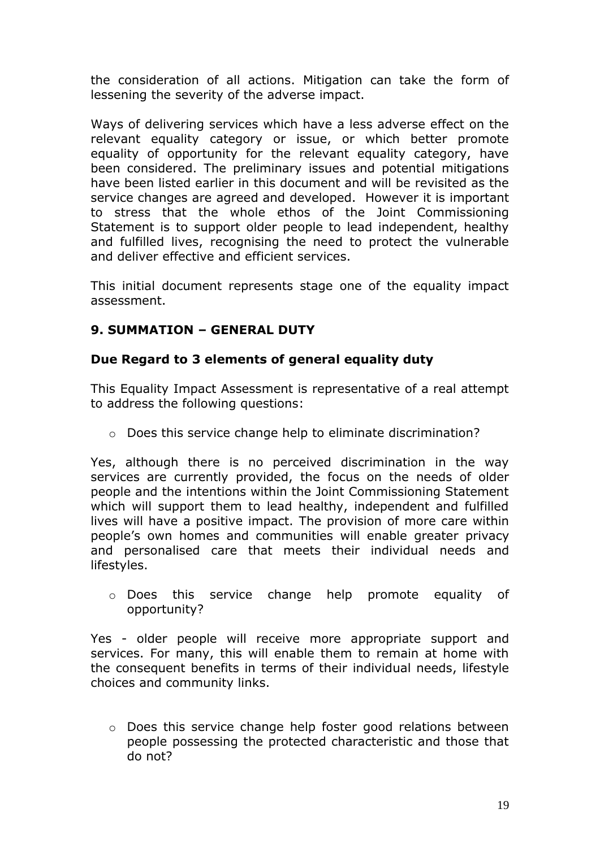the consideration of all actions. Mitigation can take the form of lessening the severity of the adverse impact.

Ways of delivering services which have a less adverse effect on the relevant equality category or issue, or which better promote equality of opportunity for the relevant equality category, have been considered. The preliminary issues and potential mitigations have been listed earlier in this document and will be revisited as the service changes are agreed and developed. However it is important to stress that the whole ethos of the Joint Commissioning Statement is to support older people to lead independent, healthy and fulfilled lives, recognising the need to protect the vulnerable and deliver effective and efficient services.

This initial document represents stage one of the equality impact assessment.

### **9. SUMMATION – GENERAL DUTY**

### **Due Regard to 3 elements of general equality duty**

This Equality Impact Assessment is representative of a real attempt to address the following questions:

o Does this service change help to eliminate discrimination?

Yes, although there is no perceived discrimination in the way services are currently provided, the focus on the needs of older people and the intentions within the Joint Commissioning Statement which will support them to lead healthy, independent and fulfilled lives will have a positive impact. The provision of more care within people's own homes and communities will enable greater privacy and personalised care that meets their individual needs and lifestyles.

o Does this service change help promote equality of opportunity?

Yes - older people will receive more appropriate support and services. For many, this will enable them to remain at home with the consequent benefits in terms of their individual needs, lifestyle choices and community links.

 $\circ$  Does this service change help foster good relations between people possessing the protected characteristic and those that do not?